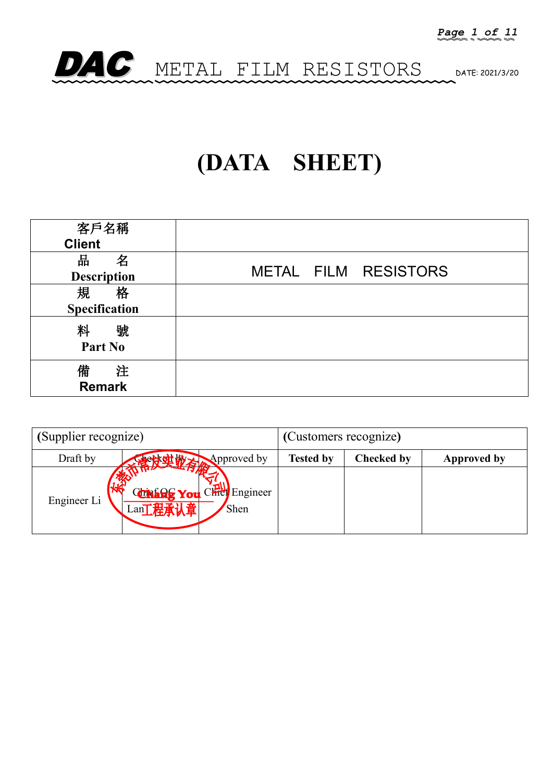*Page 1 of 11*



## **(DATA SHEET)**

| 客戶名稱                         |                      |
|------------------------------|----------------------|
| <b>Client</b>                |                      |
| 出<br>名<br><b>Description</b> | METAL FILM RESISTORS |
| 格<br>規<br>Specification      |                      |
| 號<br>料<br>Part No            |                      |
| 備<br>注<br><b>Remark</b>      |                      |

| (Supplier recognize) |                                                                                                                      |                  | (Customers recognize) |                    |
|----------------------|----------------------------------------------------------------------------------------------------------------------|------------------|-----------------------|--------------------|
| Draft by             | Approved by                                                                                                          | <b>Tested by</b> | <b>Checked by</b>     | <b>Approved by</b> |
| IXT<br>Engineer Li   | <b>Chiang You Chief Engineer</b><br>Lan $\mathop{\Gamma\mathrel{\bar{\hbox{\tiny{H}}}}}\bar{\mathcal{H}}$ 认章<br>Shen |                  |                       |                    |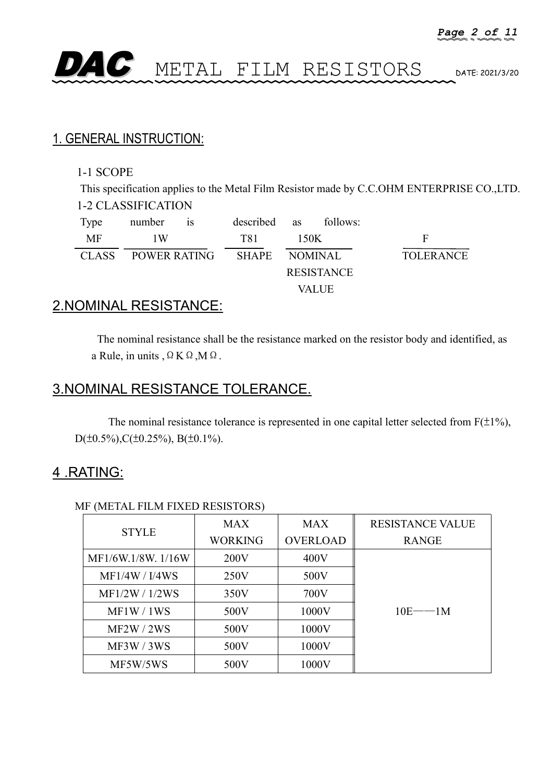

### 1. GENERAL INSTRUCTION:

### 1-1 SCOPE

This specification applies to the Metal Film Resistor made by C.C.OHM ENTERPRISE CO.,LTD. 1-2 CLASSIFICATION

| Type         | number<br>1S        | described    | follows:<br>as    |                  |
|--------------|---------------------|--------------|-------------------|------------------|
| <b>MF</b>    | ١W                  | <b>T81</b>   | 150K              | F                |
| <b>CLASS</b> | <b>POWER RATING</b> | <b>SHAPE</b> | <b>NOMINAL</b>    | <b>TOLERANCE</b> |
|              |                     |              | <b>RESISTANCE</b> |                  |
|              |                     |              | VALUE             |                  |

### 2.NOMINAL RESISTANCE:

The nominal resistance shall be the resistance marked on the resistor body and identified, as a Rule, in units,  $\Omega K \Omega$ ,  $M \Omega$ .

### 3.NOMINAL RESISTANCE TOLERANCE.

The nominal resistance tolerance is represented in one capital letter selected from  $F(\pm 1\%)$ , D( $\pm 0.5\%$ ),C( $\pm 0.25\%$ ), B( $\pm 0.1\%$ ).

### 4 .RATING:

### MF (METAL FILM FIXED RESISTORS)

|                   | <b>MAX</b>                                                                     | <b>MAX</b>      | <b>RESISTANCE VALUE</b> |
|-------------------|--------------------------------------------------------------------------------|-----------------|-------------------------|
|                   | <b>STYLE</b><br><b>WORKING</b><br>200V<br>250V<br>350V<br>500V<br>500V<br>500V | <b>OVERLOAD</b> | <b>RANGE</b>            |
| MF1/6W.1/8W.1/16W |                                                                                | 400V            |                         |
| MF1/4W / I/4WS    |                                                                                | 500V            |                         |
| MF1/2W/1/2WS      |                                                                                | 700V            |                         |
| MF1W/1WS          |                                                                                | 1000V           | $10E$ - $-1M$           |
| MF2W/2WS          |                                                                                | 1000V           |                         |
| MF3W/3WS          |                                                                                | 1000V           |                         |
| MF5W/5WS          | 500V                                                                           | 1000V           |                         |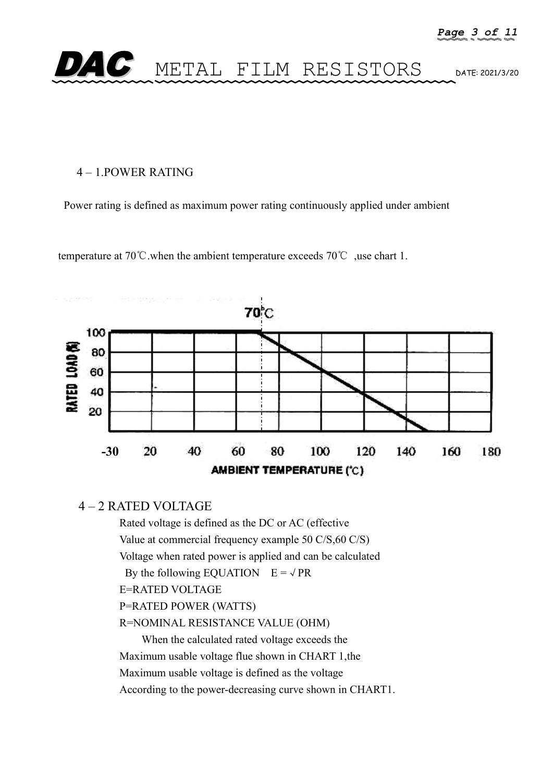

#### 4 – 1.POWER RATING

Power rating is defined as maximum power rating continuously applied under ambient

temperature at 70℃.when the ambient temperature exceeds 70℃ ,use chart 1.



#### 4 – 2 RATED VOLTAGE

Rated voltage is defined as the DC or AC (effective Value at commercial frequency example 50 C/S,60 C/S) Voltage when rated power is applied and can be calculated By the following EQUATION  $E = \sqrt{PR}$ 

E=RATED VOLTAGE

P=RATED POWER (WATTS)

R=NOMINAL RESISTANCE VALUE (OHM)

When the calculated rated voltage exceeds the Maximum usable voltage flue shown in CHART 1,the Maximum usable voltage is defined as the voltage According to the power-decreasing curve shown in CHART1.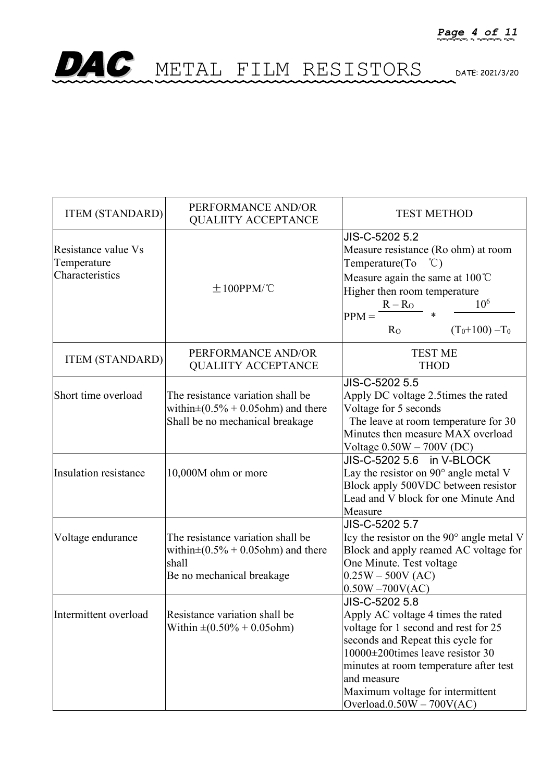| <b>ITEM (STANDARD)</b>                                | PERFORMANCE AND/OR<br>QUALIITY ACCEPTANCE                                                                            | <b>TEST METHOD</b>                                                                                                                                                                                                                                                                                 |  |  |  |  |
|-------------------------------------------------------|----------------------------------------------------------------------------------------------------------------------|----------------------------------------------------------------------------------------------------------------------------------------------------------------------------------------------------------------------------------------------------------------------------------------------------|--|--|--|--|
| Resistance value Vs<br>Temperature<br>Characteristics | $± 100$ PPM/°C                                                                                                       | JIS-C-5202 5.2<br>Measure resistance (Ro ohm) at room<br>Temperature(To $\degree$ C)<br>Measure again the same at $100^{\circ}$ C<br>Higher then room temperature<br>10 <sup>6</sup><br>$R - RO$<br>$PPM =$<br>$(T_0+100) - T_0$<br>Ro                                                             |  |  |  |  |
| <b>ITEM (STANDARD)</b>                                | PERFORMANCE AND/OR<br><b>QUALIITY ACCEPTANCE</b>                                                                     | <b>TEST ME</b><br><b>THOD</b>                                                                                                                                                                                                                                                                      |  |  |  |  |
| Short time overload                                   | The resistance variation shall be<br>within $\pm (0.5\% + 0.05$ ohm) and there<br>Shall be no mechanical breakage    | JIS-C-5202 5.5<br>Apply DC voltage 2.5times the rated<br>Voltage for 5 seconds<br>The leave at room temperature for 30<br>Minutes then measure MAX overload<br>Voltage $0.50W - 700V$ (DC)                                                                                                         |  |  |  |  |
| Insulation resistance                                 | 10,000M ohm or more                                                                                                  | JIS-C-5202 5.6 in V-BLOCK<br>Lay the resistor on $90^\circ$ angle metal V<br>Block apply 500VDC between resistor<br>Lead and V block for one Minute And<br>Measure                                                                                                                                 |  |  |  |  |
| Voltage endurance                                     | The resistance variation shall be<br>within $\pm (0.5\% + 0.05$ ohm) and there<br>shall<br>Be no mechanical breakage | JIS-C-5202 5.7<br>Icy the resistor on the $90^\circ$ angle metal V<br>Block and apply reamed AC voltage for<br>One Minute. Test voltage<br>$0.25W - 500V (AC)$<br>$0.50W - 700V(AC)$                                                                                                               |  |  |  |  |
| Intermittent overload                                 | Resistance variation shall be<br>Within $\pm (0.50\% + 0.05$ ohm)                                                    | JIS-C-5202 5.8<br>Apply AC voltage 4 times the rated<br>voltage for 1 second and rest for 25<br>seconds and Repeat this cycle for<br>10000±200times leave resistor 30<br>minutes at room temperature after test<br>and measure<br>Maximum voltage for intermittent<br>Overload. $0.50W - 700V(AC)$ |  |  |  |  |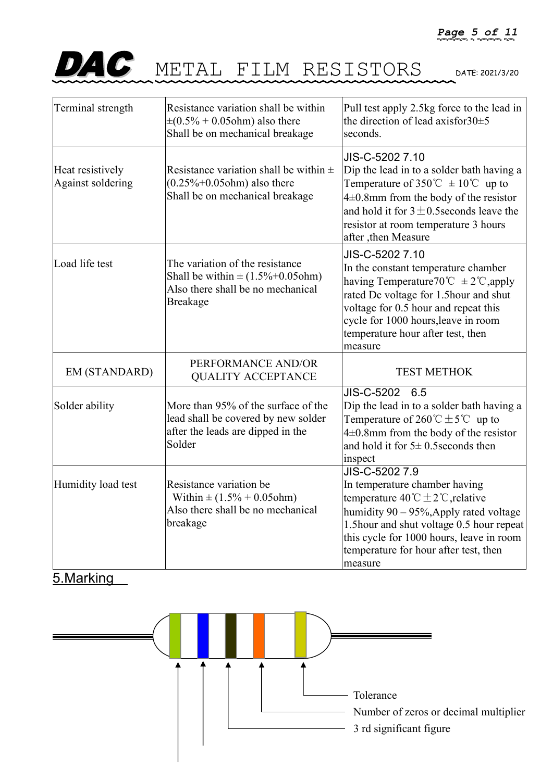### *Page 5 of 11*



DAC METAL FILM RESISTORS DATE: 2021/3/20

| Terminal strength                            | Resistance variation shall be within<br>$\pm (0.5\% + 0.05$ ohm) also there<br>Shall be on mechanical breakage                      | Pull test apply 2.5kg force to the lead in<br>the direction of lead axisfor $30\pm5$<br>seconds.                                                                                                                                                                                                |
|----------------------------------------------|-------------------------------------------------------------------------------------------------------------------------------------|-------------------------------------------------------------------------------------------------------------------------------------------------------------------------------------------------------------------------------------------------------------------------------------------------|
| Heat resistively<br><b>Against soldering</b> | Resistance variation shall be within $\pm$<br>$(0.25\% + 0.05$ ohm) also there<br>Shall be on mechanical breakage                   | JIS-C-5202 7.10<br>Dip the lead in to a solder bath having a<br>Temperature of $350^{\circ}\text{C} \pm 10^{\circ}\text{C}$ up to<br>$4\pm0.8$ mm from the body of the resistor<br>and hold it for $3 \pm 0.5$ seconds leave the<br>resistor at room temperature 3 hours<br>after ,then Measure |
| Load life test                               | The variation of the resistance<br>Shall be within $\pm (1.5\% + 0.05$ ohm)<br>Also there shall be no mechanical<br><b>Breakage</b> | JIS-C-5202 7.10<br>In the constant temperature chamber<br>having Temperature $70^{\circ}$ C $\pm 2^{\circ}$ C, apply<br>rated Dc voltage for 1.5 hour and shut<br>voltage for 0.5 hour and repeat this<br>cycle for 1000 hours, leave in room<br>temperature hour after test, then<br>measure   |
| <b>EM (STANDARD)</b>                         | PERFORMANCE AND/OR<br><b>QUALITY ACCEPTANCE</b>                                                                                     | <b>TEST METHOK</b>                                                                                                                                                                                                                                                                              |
| Solder ability                               | More than 95% of the surface of the<br>lead shall be covered by new solder<br>after the leads are dipped in the<br>Solder           | JIS-C-5202 6.5<br>Dip the lead in to a solder bath having a<br>Temperature of $260^{\circ}C \pm 5^{\circ}C$ up to<br>$4\pm0.8$ mm from the body of the resistor<br>and hold it for $5\pm 0.5$ seconds then<br>inspect                                                                           |
| Humidity load test                           | Resistance variation be<br>Within $\pm (1.5\% + 0.05$ ohm)<br>Also there shall be no mechanical<br>breakage                         | JIS-C-5202 7.9<br>In temperature chamber having<br>temperature $40^{\circ}$ C $\pm$ 2 °C, relative<br>humidity 90 - 95%, Apply rated voltage<br>1.5 hour and shut voltage 0.5 hour repeat<br>this cycle for 1000 hours, leave in room<br>temperature for hour after test, then<br>measure       |

### 5.Marking

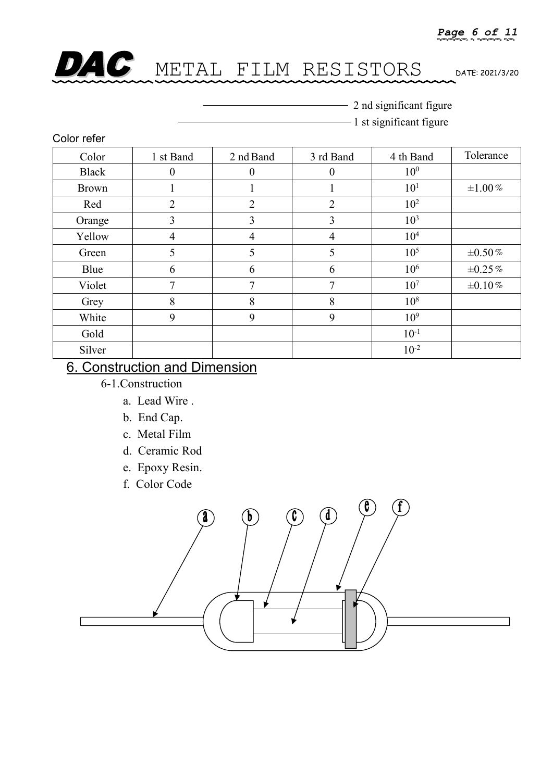- 2 nd significant figure

- 1 st significant figure

| Color  | 1 st Band      | 2 nd Band      | 3 rd Band      | 4 th Band       | Tolerance      |
|--------|----------------|----------------|----------------|-----------------|----------------|
| Black  | $\theta$       | $\mathbf{0}$   | $\theta$       | 10 <sup>0</sup> |                |
| Brown  |                |                |                | 10 <sup>1</sup> | $\pm 1.00\,\%$ |
| Red    | $\overline{2}$ | $\overline{2}$ | $\overline{2}$ | 10 <sup>2</sup> |                |
| Orange | 3              | 3              | 3              | 10 <sup>3</sup> |                |
| Yellow | 4              | $\overline{4}$ | 4              | 10 <sup>4</sup> |                |
| Green  | 5              | 5              | 5              | 10 <sup>5</sup> | $\pm 0.50\,\%$ |
| Blue   | 6              | 6              | 6              | 10 <sup>6</sup> | $\pm 0.25\,\%$ |
| Violet | $\mathbf{z}$   | $\mathbf{7}$   | $\mathbf{r}$   | 10 <sup>7</sup> | $\pm 0.10\,\%$ |
| Grey   | 8              | 8              | 8              | 10 <sup>8</sup> |                |
| White  | 9              | 9              | 9              | 10 <sup>9</sup> |                |
| Gold   |                |                |                | $10^{-1}$       |                |
| Silver |                |                |                | $10^{-2}$       |                |

### 6. Construction and Dimension

6-1.Construction

Color refer

- a. Lead Wire .
- b. End Cap.
- c. Metal Film
- d. Ceramic Rod
- e. Epoxy Resin.
- f. Color Code

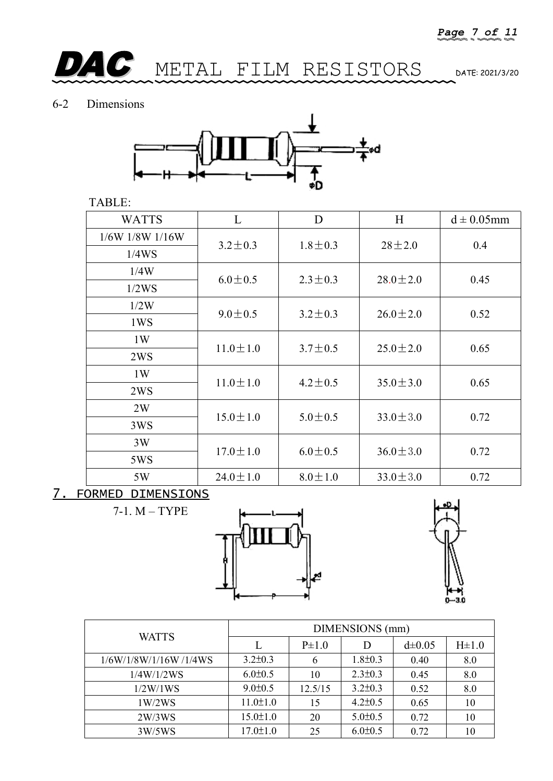### 6-2 Dimensions



### TABLE:

| <b>WATTS</b>    | L              | D             | H              | $d \pm 0.05$ mm |  |
|-----------------|----------------|---------------|----------------|-----------------|--|
| 1/6W 1/8W 1/16W | $3.2 \pm 0.3$  |               |                |                 |  |
| 1/4WS           |                | $1.8 \pm 0.3$ | $28 + 2.0$     | 0.4             |  |
| 1/4W            | $6.0 \pm 0.5$  | $2.3 \pm 0.3$ | $28.0 \pm 2.0$ |                 |  |
| 1/2WS           |                |               |                | 0.45            |  |
| 1/2W            | $9.0 \pm 0.5$  | $3.2 \pm 0.3$ | $26.0 \pm 2.0$ | 0.52            |  |
| 1WS             |                |               |                |                 |  |
| 1W              | $11.0 \pm 1.0$ | $3.7 \pm 0.5$ | $25.0 \pm 2.0$ | 0.65            |  |
| 2WS             |                |               |                |                 |  |
| 1W              | $11.0 \pm 1.0$ | $4.2 \pm 0.5$ | $35.0 \pm 3.0$ | 0.65            |  |
| 2WS             |                |               |                |                 |  |
| 2W              | $15.0 \pm 1.0$ | $5.0 \pm 0.5$ | $33.0 \pm 3.0$ | 0.72            |  |
| 3WS             |                |               |                |                 |  |
| 3W              | $17.0 \pm 1.0$ | $6.0 \pm 0.5$ | $36.0 \pm 3.0$ | 0.72            |  |
| 5WS             |                |               |                |                 |  |
| 5W              | $24.0 \pm 1.0$ | $8.0 \pm 1.0$ | $33.0 \pm 3.0$ | 0.72            |  |

### 7. FORMED DIMENSIONS

7-1. M – TYPE





|                        | DIMENSIONS (mm) |           |               |             |           |  |  |
|------------------------|-----------------|-----------|---------------|-------------|-----------|--|--|
| <b>WATTS</b>           |                 | $P\pm1.0$ | D             | $d\pm 0.05$ | $H\pm1.0$ |  |  |
| 1/6W/1/8W/1/16W /1/4WS | $3.2 \pm 0.3$   | 6         | $1.8 \pm 0.3$ | 0.40        | 8.0       |  |  |
| 1/4W/1/2WS             | $6.0 \pm 0.5$   | 10        | $2.3 \pm 0.3$ | 0.45        | 8.0       |  |  |
| 1/2W/1WS               | $9.0 \pm 0.5$   | 12.5/15   | $3.2 \pm 0.3$ | 0.52        | 8.0       |  |  |
| 1W/2WS                 | $11.0 \pm 1.0$  | 15        | $4.2 \pm 0.5$ | 0.65        | 10        |  |  |
| 2W/3WS                 | $15.0 \pm 1.0$  | 20        | $5.0 \pm 0.5$ | 0.72        | 10        |  |  |
| 3W/5WS                 | $17.0 \pm 1.0$  | 25        | $6.0 \pm 0.5$ | 0.72        | 10        |  |  |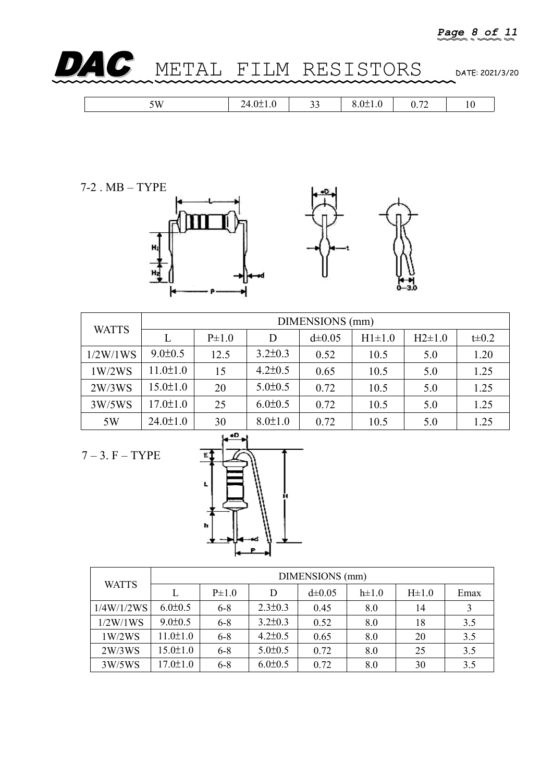

| $\overline{\phantom{a}}$<br>.<br>∸<br>–<br>__ | ( )+<br>$\sim$ $\sim$ $\sim$ $\sim$ | --<br>$ -$ | . . | $-1117$<br>$\mathbf{M}$ |
|-----------------------------------------------|-------------------------------------|------------|-----|-------------------------|
|-----------------------------------------------|-------------------------------------|------------|-----|-------------------------|

7-2 . MB – TYPE





|              |                | DIMENSIONS (mm) |               |             |            |            |           |  |  |
|--------------|----------------|-----------------|---------------|-------------|------------|------------|-----------|--|--|
| <b>WATTS</b> | L              | $P\pm 1.0$      | D             | $d\pm 0.05$ | $H1\pm1.0$ | $H2\pm1.0$ | $t\pm0.2$ |  |  |
| 1/2W/1WS     | $9.0 \pm 0.5$  | 12.5            | $3.2 \pm 0.3$ | 0.52        | 10.5       | 5.0        | 1.20      |  |  |
| 1W/2WS       | $11.0 \pm 1.0$ | 15              | $4.2 \pm 0.5$ | 0.65        | 10.5       | 5.0        | 1.25      |  |  |
| 2W/3WS       | $15.0 \pm 1.0$ | 20              | $5.0 \pm 0.5$ | 0.72        | 10.5       | 5.0        | 1.25      |  |  |
| 3W/5WS       | $17.0 \pm 1.0$ | 25              | $6.0 \pm 0.5$ | 0.72        | 10.5       | 5.0        | 1.25      |  |  |
| 5W           | $24.0 \pm 1.0$ | 30              | $8.0 \pm 1.0$ | 0.72        | 10.5       | 5.0        | 1.25      |  |  |

 $7 - 3. F - TYPE$ 



| <b>WATTS</b> |                | DIMENSIONS (mm) |               |             |           |           |      |  |
|--------------|----------------|-----------------|---------------|-------------|-----------|-----------|------|--|
|              |                | $P\pm 1.0$      | D             | $d\pm 0.05$ | $h\pm1.0$ | $H\pm1.0$ | Emax |  |
| 1/4W/1/2WS   | $6.0 \pm 0.5$  | $6 - 8$         | $2.3 \pm 0.3$ | 0.45        | 8.0       | 14        |      |  |
| 1/2W/1WS     | $9.0 \pm 0.5$  | $6 - 8$         | $3.2 \pm 0.3$ | 0.52        | 8.0       | 18        | 3.5  |  |
| 1W/2WS       | $11.0 \pm 1.0$ | $6 - 8$         | $4.2 \pm 0.5$ | 0.65        | 8.0       | 20        | 3.5  |  |
| 2W/3WS       | $15.0 \pm 1.0$ | $6 - 8$         | $5.0 \pm 0.5$ | 0.72        | 8.0       | 25        | 3.5  |  |
| 3W/5WS       | $17.0 \pm 1.0$ | $6 - 8$         | $6.0 \pm 0.5$ | 0.72        | 8.0       | 30        | 3.5  |  |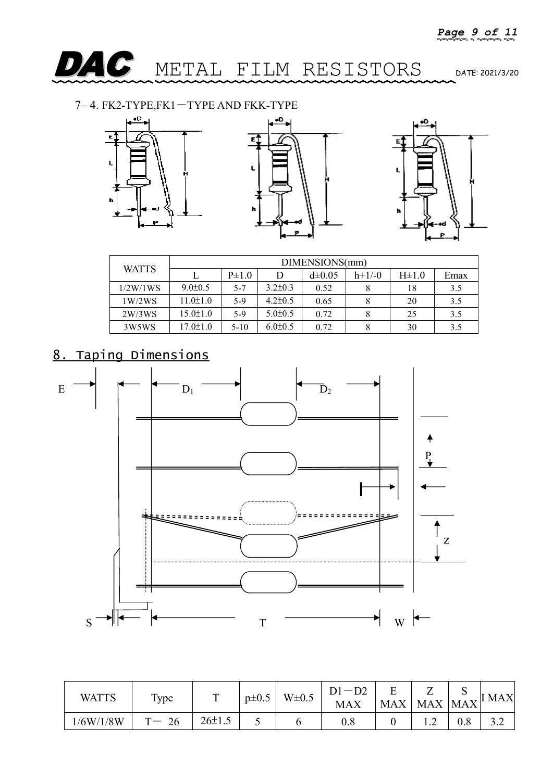

### 7-4. FK2-TYPE, FK1-TYPE AND FKK-TYPE







| <b>WATTS</b> | DIMENSIONS(mm) |           |               |             |          |           |      |  |  |  |  |
|--------------|----------------|-----------|---------------|-------------|----------|-----------|------|--|--|--|--|
|              |                | $P\pm1.0$ | D             | $d\pm 0.05$ | $h+1/-0$ | $H\pm1.0$ | Emax |  |  |  |  |
| 1/2W/1WS     | $9.0 \pm 0.5$  | 5-7       | $3.2 \pm 0.3$ | 0.52        |          | 18        | 3.5  |  |  |  |  |
| 1W/2WS       | $11.0 \pm 1.0$ | 5-9       | $4.2 \pm 0.5$ | 0.65        |          | 20        | 3.5  |  |  |  |  |
| 2W/3WS       | 15.0±1.0       | 5-9       | $5.0 \pm 0.5$ | 0.72        |          | 25        | 3.5  |  |  |  |  |
| 3W5WS        | 17.0±1.0       | $5 - 10$  | $6.0 \pm 0.5$ | 0.72        |          | 30        | 3.5  |  |  |  |  |

### 8. Taping Dimensions



| <b>WATTS</b> | Type               | $\mathbf{r}$ | $p\pm 0.5$<br>. . | $W\pm0.5$ | $D1-D2$<br><b>MAX</b> | $\blacksquare$<br><u>_</u><br><b>MAX</b> | $\overline{ }$<br>↩<br><b>MAX</b> | $\sim$<br>ັ<br><b>MAX</b> | $\sum$ I MAX      |
|--------------|--------------------|--------------|-------------------|-----------|-----------------------|------------------------------------------|-----------------------------------|---------------------------|-------------------|
| 1/6W/1/8W    | $\mathbf{r}$<br>26 | $26 \pm 1.5$ |                   | ъ.        | 0.8                   |                                          | $\sim$<br>1.4                     | റ റ<br>v.o                | $\Omega$<br>J . 4 |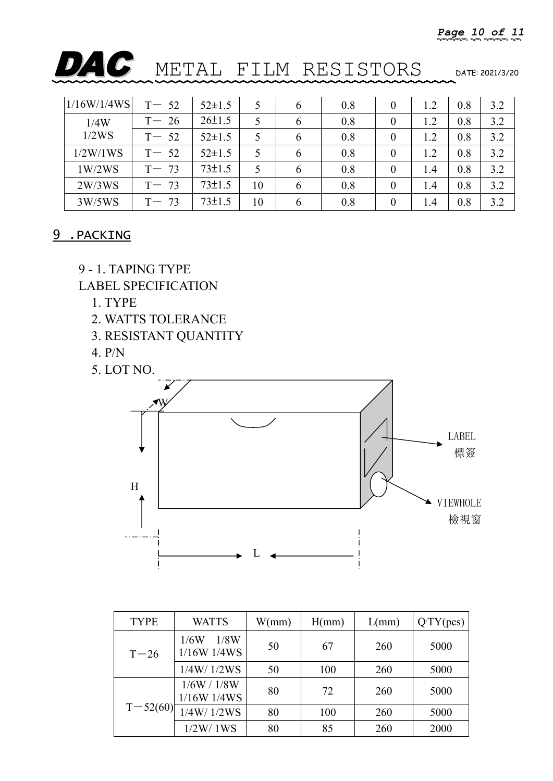| 1/16W/1/4WS | $T - 52$ | $52 \pm 1.5$ | 5  | 6 | 0.8 | $\boldsymbol{0}$ | 1.2 | 0.8 | 3.2 |
|-------------|----------|--------------|----|---|-----|------------------|-----|-----|-----|
| 1/4W        | $T-26$   | $26 \pm 1.5$ | 5  | 6 | 0.8 | $\boldsymbol{0}$ | 1.2 | 0.8 | 3.2 |
| 1/2WS       | $T-52$   | $52 \pm 1.5$ | 5  | 6 | 0.8 | $\boldsymbol{0}$ | 1.2 | 0.8 | 3.2 |
| 1/2W/1WS    | $T-52$   | $52 \pm 1.5$ | 5  | 6 | 0.8 | $\boldsymbol{0}$ | 1.2 | 0.8 | 3.2 |
| 1W/2WS      | $T-73$   | $73 \pm 1.5$ |    | 6 | 0.8 | $\boldsymbol{0}$ | 1.4 | 0.8 | 3.2 |
| 2W/3WS      | $T - 73$ | $73 \pm 1.5$ | 10 | 6 | 0.8 | $\boldsymbol{0}$ | 1.4 | 0.8 | 3.2 |
| 3W/5WS      | $T - 73$ | $73 \pm 1.5$ | 10 | 6 | 0.8 | $\boldsymbol{0}$ | 1.4 | 0.8 | 3.2 |

### 9 .PACKING

9 - 1. TAPING TYPE

LABEL SPECIFICATION

- 1. TYPE
- 2. WATTS TOLERANCE
- 3. RESISTANT QUANTITY
- 4. P/N
- 5. LOT NO.



| <b>TYPE</b>  | <b>WATTS</b>                  | W(mm) | H(mm) | L(mm) | $Q^T Y(pcs)$ |
|--------------|-------------------------------|-------|-------|-------|--------------|
| $T-26$       | 1/8W<br>1/6W<br>$1/16W$ 1/4WS | 50    | 67    | 260   | 5000         |
|              | 1/4W/1/2WS                    | 50    | 100   | 260   | 5000         |
|              | 1/6W/1/8W<br>$1/16W$ $1/4WS$  | 80    | 72    | 260   | 5000         |
| $T - 52(60)$ | 1/4W/1/2WS                    | 80    | 100   | 260   | 5000         |
|              | 1/2W/1WS                      | 80    | 85    | 260   | 2000         |